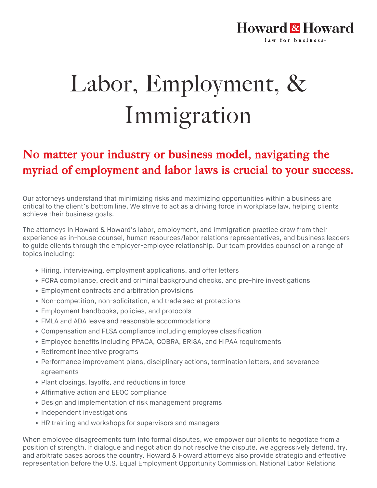## **Howard & Howard** law for business-

## Labor, Employment, & Immigration

## No matter your industry or business model, navigating the myriad of employment and labor laws is crucial to your success.

Our attorneys understand that minimizing risks and maximizing opportunities within a business are critical to the client's bottom line. We strive to act as a driving force in workplace law, helping clients achieve their business goals.

The attorneys in Howard & Howard's labor, employment, and immigration practice draw from their experience as in-house counsel, human resources/labor relations representatives, and business leaders to guide clients through the employer-employee relationship. Our team provides counsel on a range of topics including:

- Hiring, interviewing, employment applications, and offer letters
- FCRA compliance, credit and criminal background checks, and pre-hire investigations
- Employment contracts and arbitration provisions
- Non-competition, non-solicitation, and trade secret protections
- Employment handbooks, policies, and protocols
- FMLA and ADA leave and reasonable accommodations
- Compensation and FLSA compliance including employee classification
- Employee benefits including PPACA, COBRA, ERISA, and HIPAA requirements
- Retirement incentive programs
- Performance improvement plans, disciplinary actions, termination letters, and severance agreements
- Plant closings, layoffs, and reductions in force
- Affirmative action and EEOC compliance
- Design and implementation of risk management programs
- Independent investigations
- HR training and workshops for supervisors and managers

When employee disagreements turn into formal disputes, we empower our clients to negotiate from a position of strength. If dialogue and negotiation do not resolve the dispute, we aggressively defend, try, and arbitrate cases across the country. Howard & Howard attorneys also provide strategic and effective representation before the U.S. Equal Employment Opportunity Commission, National Labor Relations